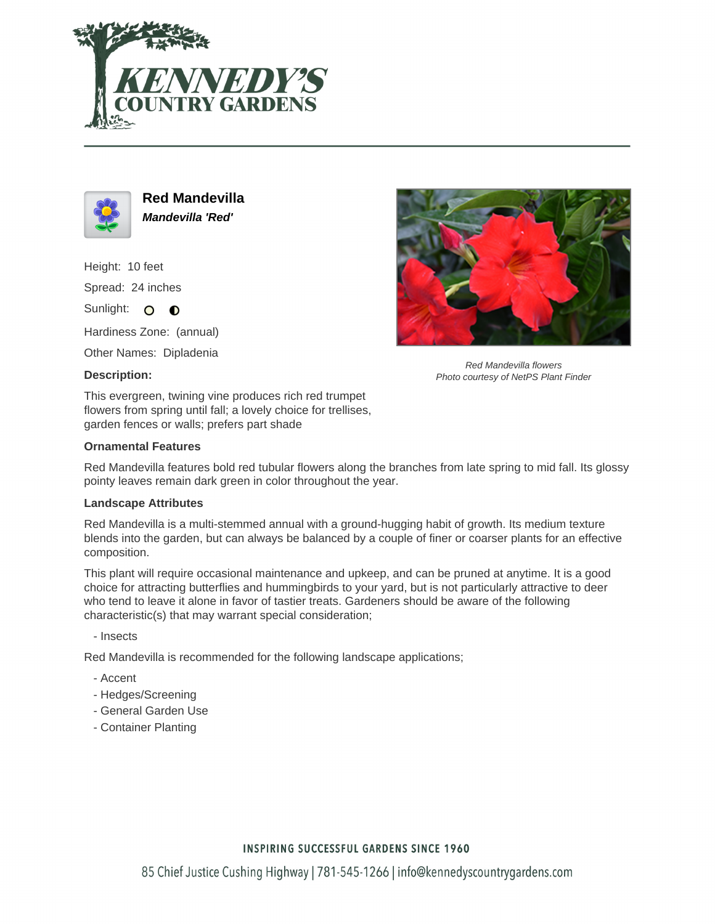



**Red Mandevilla Mandevilla 'Red'**

Height: 10 feet Spread: 24 inches Sunlight: O O

Hardiness Zone: (annual)

Other Names: Dipladenia

# **Description:**



Red Mandevilla flowers Photo courtesy of NetPS Plant Finder

This evergreen, twining vine produces rich red trumpet flowers from spring until fall; a lovely choice for trellises, garden fences or walls; prefers part shade

### **Ornamental Features**

Red Mandevilla features bold red tubular flowers along the branches from late spring to mid fall. Its glossy pointy leaves remain dark green in color throughout the year.

#### **Landscape Attributes**

Red Mandevilla is a multi-stemmed annual with a ground-hugging habit of growth. Its medium texture blends into the garden, but can always be balanced by a couple of finer or coarser plants for an effective composition.

This plant will require occasional maintenance and upkeep, and can be pruned at anytime. It is a good choice for attracting butterflies and hummingbirds to your yard, but is not particularly attractive to deer who tend to leave it alone in favor of tastier treats. Gardeners should be aware of the following characteristic(s) that may warrant special consideration;

- Insects

Red Mandevilla is recommended for the following landscape applications;

- Accent
- Hedges/Screening
- General Garden Use
- Container Planting

# **INSPIRING SUCCESSFUL GARDENS SINCE 1960**